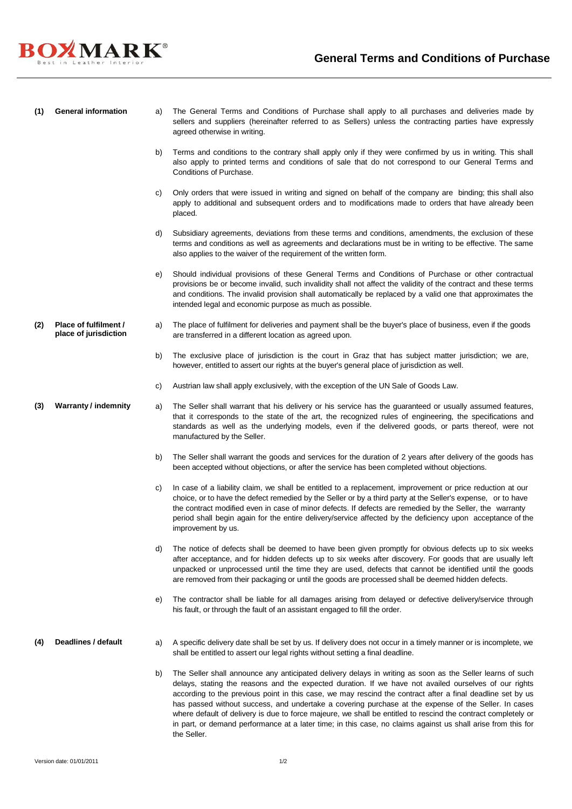

**(1) General information** a) The General Terms and Conditions of Purchase shall apply to all purchases and deliveries made by sellers and suppliers (hereinafter referred to as Sellers) unless the contracting parties have expressly agreed otherwise in writing.

- b) Terms and conditions to the contrary shall apply only if they were confirmed by us in writing. This shall also apply to printed terms and conditions of sale that do not correspond to our General Terms and Conditions of Purchase.
- c) Only orders that were issued in writing and signed on behalf of the company are binding; this shall also apply to additional and subsequent orders and to modifications made to orders that have already been placed.
- d) Subsidiary agreements, deviations from these terms and conditions, amendments, the exclusion of these terms and conditions as well as agreements and declarations must be in writing to be effective. The same also applies to the waiver of the requirement of the written form.
- e) Should individual provisions of these General Terms and Conditions of Purchase or other contractual provisions be or become invalid, such invalidity shall not affect the validity of the contract and these terms and conditions. The invalid provision shall automatically be replaced by a valid one that approximates the intended legal and economic purpose as much as possible.
- **(2) Place of fulfilment / place of jurisdiction** a) The place of fulfilment for deliveries and payment shall be the buyer's place of business, even if the goods are transferred in a different location as agreed upon.
	- b) The exclusive place of jurisdiction is the court in Graz that has subject matter jurisdiction; we are, however, entitled to assert our rights at the buyer's general place of jurisdiction as well.
	- c) Austrian law shall apply exclusively, with the exception of the UN Sale of Goods Law.
- **(3) Warranty / indemnity** a) The Seller shall warrant that his delivery or his service has the guaranteed or usually assumed features, that it corresponds to the state of the art, the recognized rules of engineering, the specifications and standards as well as the underlying models, even if the delivered goods, or parts thereof, were not manufactured by the Seller.
	- b) The Seller shall warrant the goods and services for the duration of 2 years after delivery of the goods has been accepted without objections, or after the service has been completed without objections.
	- c) In case of a liability claim, we shall be entitled to a replacement, improvement or price reduction at our choice, or to have the defect remedied by the Seller or by a third party at the Seller's expense, or to have the contract modified even in case of minor defects. If defects are remedied by the Seller, the warranty period shall begin again for the entire delivery/service affected by the deficiency upon acceptance of the improvement by us.
	- d) The notice of defects shall be deemed to have been given promptly for obvious defects up to six weeks after acceptance, and for hidden defects up to six weeks after discovery. For goods that are usually left unpacked or unprocessed until the time they are used, defects that cannot be identified until the goods are removed from their packaging or until the goods are processed shall be deemed hidden defects.
	- e) The contractor shall be liable for all damages arising from delayed or defective delivery/service through his fault, or through the fault of an assistant engaged to fill the order.
- 
- **(4) Deadlines / default** a) A specific delivery date shall be set by us. If delivery does not occur in a timely manner or is incomplete, we shall be entitled to assert our legal rights without setting a final deadline.
	- b) The Seller shall announce any anticipated delivery delays in writing as soon as the Seller learns of such delays, stating the reasons and the expected duration. If we have not availed ourselves of our rights according to the previous point in this case, we may rescind the contract after a final deadline set by us has passed without success, and undertake a covering purchase at the expense of the Seller. In cases where default of delivery is due to force majeure, we shall be entitled to rescind the contract completely or in part, or demand performance at a later time; in this case, no claims against us shall arise from this for the Seller.